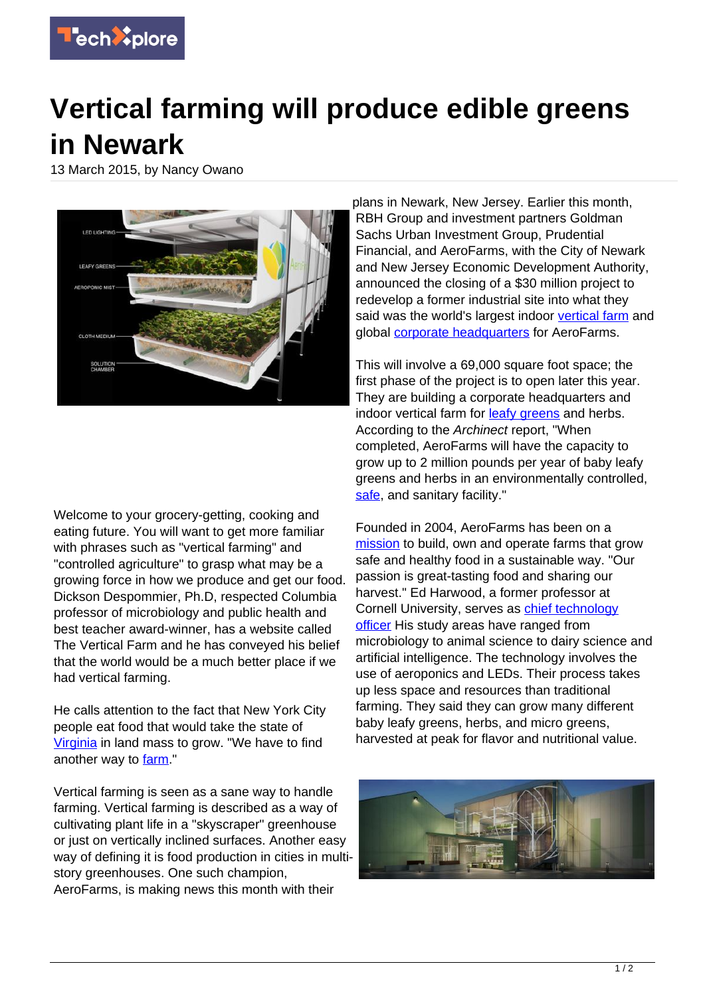

## **Vertical farming will produce edible greens in Newark**

13 March 2015, by Nancy Owano



Welcome to your grocery-getting, cooking and eating future. You will want to get more familiar with phrases such as "vertical farming" and "controlled agriculture" to grasp what may be a growing force in how we produce and get our food. Dickson Despommier, Ph.D, respected Columbia professor of microbiology and public health and best teacher award-winner, has a website called The Vertical Farm and he has conveyed his belief that the world would be a much better place if we had vertical farming.

He calls attention to the fact that New York City people eat food that would take the state of [Virginia](https://www.youtube.com/watch?v=1clRcxZS52s&t=105) in land mass to grow. "We have to find another way to [farm.](https://techxplore.com/tags/farm/)"

Vertical farming is seen as a sane way to handle farming. Vertical farming is described as a way of cultivating plant life in a "skyscraper" greenhouse or just on vertically inclined surfaces. Another easy way of defining it is food production in cities in multistory greenhouses. One such champion, AeroFarms, is making news this month with their

plans in Newark, New Jersey. Earlier this month, RBH Group and investment partners Goldman Sachs Urban Investment Group, Prudential Financial, and AeroFarms, with the City of Newark and New Jersey Economic Development Authority, announced the closing of a \$30 million project to redevelop a former industrial site into what they said was the world's largest indoor [vertical farm](https://techxplore.com/tags/vertical+farm/) and global [corporate headquarters](https://techxplore.com/tags/corporate+headquarters/) for AeroFarms.

This will involve a 69,000 square foot space; the first phase of the project is to open later this year. They are building a corporate headquarters and indoor vertical farm for **leafy greens** and herbs. According to the Archinect report, "When completed, AeroFarms will have the capacity to grow up to 2 million pounds per year of baby leafy greens and herbs in an environmentally controlled, [safe](http://archinect.com/news/article/122600458/newark-to-convert-steel-factory-into-world-s-largest-indoor-vertical-farm), and sanitary facility."

Founded in 2004, AeroFarms has been on a [mission](http://aerofarms.com/our-products/) to build, own and operate farms that grow safe and healthy food in a sustainable way. "Our passion is great-tasting food and sharing our harvest." Ed Harwood, a former professor at Cornell University, serves as [chief technology](https://techxplore.com/tags/chief+technology+officer/) [officer](https://techxplore.com/tags/chief+technology+officer/) His study areas have ranged from microbiology to animal science to dairy science and artificial intelligence. The technology involves the use of aeroponics and LEDs. Their process takes up less space and resources than traditional farming. They said they can grow many different baby leafy greens, herbs, and micro greens, harvested at peak for flavor and nutritional value.